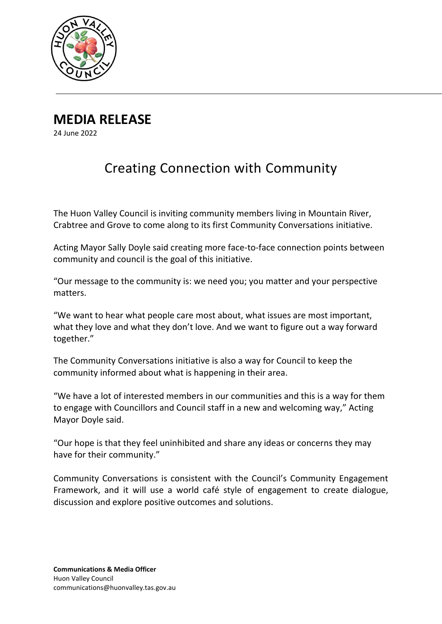

**MEDIA RELEASE**

24 June 2022

## Creating Connection with Community

The Huon Valley Council is inviting community members living in Mountain River, Crabtree and Grove to come along to its first Community Conversations initiative.

Acting Mayor Sally Doyle said creating more face-to-face connection points between community and council is the goal of this initiative.

"Our message to the community is: we need you; you matter and your perspective matters.

"We want to hear what people care most about, what issues are most important, what they love and what they don't love. And we want to figure out a way forward together."

The Community Conversations initiative is also a way for Council to keep the community informed about what is happening in their area.

"We have a lot of interested members in our communities and this is a way for them to engage with Councillors and Council staff in a new and welcoming way," Acting Mayor Doyle said.

"Our hope is that they feel uninhibited and share any ideas or concerns they may have for their community."

Community Conversations is consistent with the Council's Community Engagement Framework, and it will use a world café style of engagement to create dialogue, discussion and explore positive outcomes and solutions.